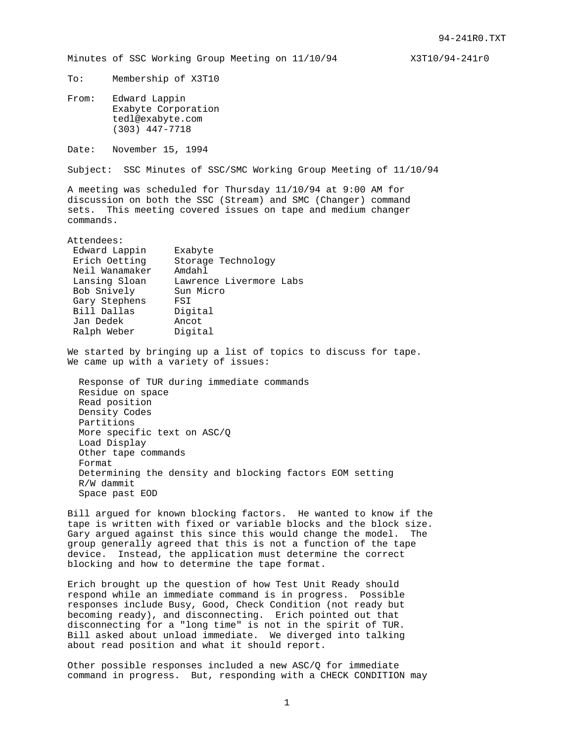Minutes of SSC Working Group Meeting on  $11/10/94$  X3T10/94-241r0

To: Membership of X3T10

From: Edward Lappin Exabyte Corporation tedl@exabyte.com (303) 447-7718

Date: November 15, 1994

Subject: SSC Minutes of SSC/SMC Working Group Meeting of 11/10/94

A meeting was scheduled for Thursday 11/10/94 at 9:00 AM for discussion on both the SSC (Stream) and SMC (Changer) command sets. This meeting covered issues on tape and medium changer commands.

Attendees:

| Edward Lappin  | Exabyte                 |
|----------------|-------------------------|
| Erich Oetting  | Storage Technology      |
| Neil Wanamaker | Amdahl                  |
| Lansing Sloan  | Lawrence Livermore Labs |
| Bob Snively    | Sun Micro               |
| Gary Stephens  | FST                     |
| Bill Dallas    | Digital                 |
| Jan Dedek      | Ancot                   |
| Ralph Weber    | Digital                 |
|                |                         |

We started by bringing up a list of topics to discuss for tape. We came up with a variety of issues:

 Response of TUR during immediate commands Residue on space Read position Density Codes Partitions More specific text on ASC/Q Load Display Other tape commands Format Determining the density and blocking factors EOM setting R/W dammit Space past EOD

Bill argued for known blocking factors. He wanted to know if the tape is written with fixed or variable blocks and the block size. Gary argued against this since this would change the model. The group generally agreed that this is not a function of the tape device. Instead, the application must determine the correct blocking and how to determine the tape format.

Erich brought up the question of how Test Unit Ready should respond while an immediate command is in progress. Possible responses include Busy, Good, Check Condition (not ready but becoming ready), and disconnecting. Erich pointed out that disconnecting for a "long time" is not in the spirit of TUR. Bill asked about unload immediate. We diverged into talking about read position and what it should report.

Other possible responses included a new ASC/Q for immediate command in progress. But, responding with a CHECK CONDITION may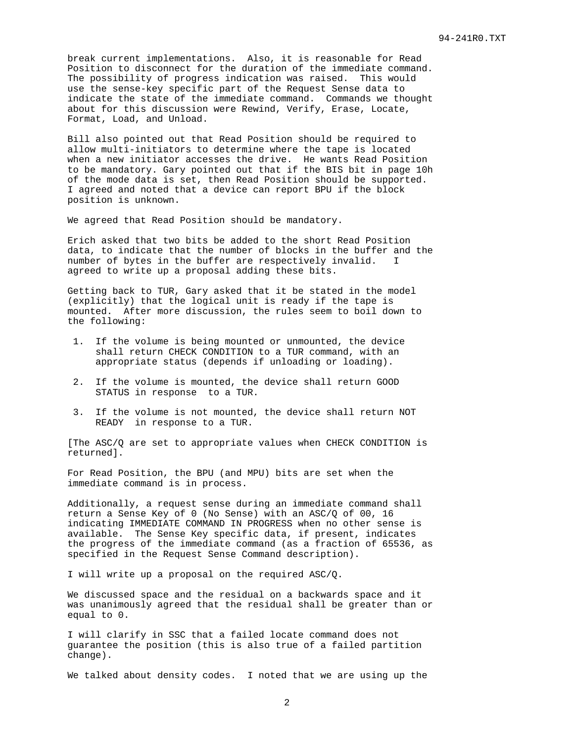break current implementations. Also, it is reasonable for Read Position to disconnect for the duration of the immediate command. The possibility of progress indication was raised. This would use the sense-key specific part of the Request Sense data to indicate the state of the immediate command. Commands we thought about for this discussion were Rewind, Verify, Erase, Locate, Format, Load, and Unload.

Bill also pointed out that Read Position should be required to allow multi-initiators to determine where the tape is located when a new initiator accesses the drive. He wants Read Position to be mandatory. Gary pointed out that if the BIS bit in page 10h of the mode data is set, then Read Position should be supported. I agreed and noted that a device can report BPU if the block position is unknown.

We agreed that Read Position should be mandatory.

Erich asked that two bits be added to the short Read Position data, to indicate that the number of blocks in the buffer and the number of bytes in the buffer are respectively invalid. I agreed to write up a proposal adding these bits.

Getting back to TUR, Gary asked that it be stated in the model (explicitly) that the logical unit is ready if the tape is mounted. After more discussion, the rules seem to boil down to the following:

- 1. If the volume is being mounted or unmounted, the device shall return CHECK CONDITION to a TUR command, with an appropriate status (depends if unloading or loading).
- 2. If the volume is mounted, the device shall return GOOD STATUS in response to a TUR.
- 3. If the volume is not mounted, the device shall return NOT READY in response to a TUR.

[The ASC/Q are set to appropriate values when CHECK CONDITION is returned].

For Read Position, the BPU (and MPU) bits are set when the immediate command is in process.

Additionally, a request sense during an immediate command shall return a Sense Key of 0 (No Sense) with an ASC/Q of 00, 16 indicating IMMEDIATE COMMAND IN PROGRESS when no other sense is available. The Sense Key specific data, if present, indicates the progress of the immediate command (as a fraction of 65536, as specified in the Request Sense Command description).

I will write up a proposal on the required ASC/Q.

We discussed space and the residual on a backwards space and it was unanimously agreed that the residual shall be greater than or equal to 0.

I will clarify in SSC that a failed locate command does not guarantee the position (this is also true of a failed partition change).

We talked about density codes. I noted that we are using up the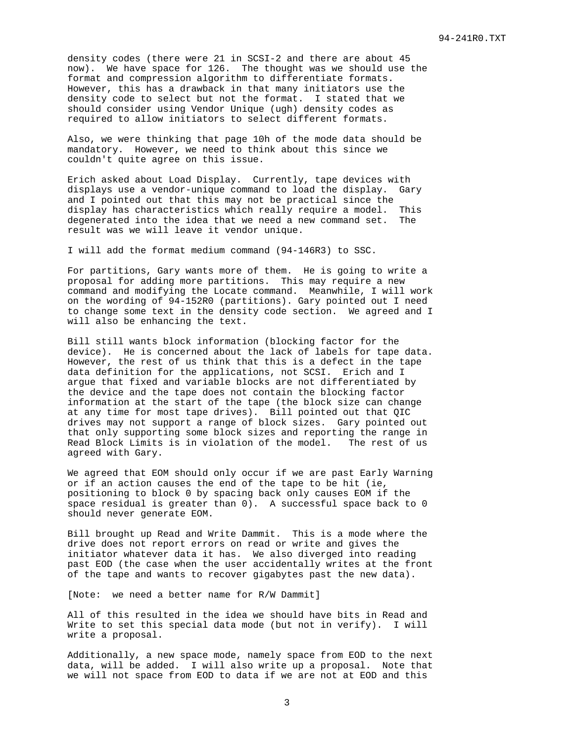density codes (there were 21 in SCSI-2 and there are about 45 now). We have space for 126. The thought was we should use the format and compression algorithm to differentiate formats. However, this has a drawback in that many initiators use the density code to select but not the format. I stated that we should consider using Vendor Unique (ugh) density codes as required to allow initiators to select different formats.

Also, we were thinking that page 10h of the mode data should be mandatory. However, we need to think about this since we couldn't quite agree on this issue.

Erich asked about Load Display. Currently, tape devices with displays use a vendor-unique command to load the display. Gary and I pointed out that this may not be practical since the display has characteristics which really require a model. This degenerated into the idea that we need a new command set. The result was we will leave it vendor unique.

I will add the format medium command (94-146R3) to SSC.

For partitions, Gary wants more of them. He is going to write a proposal for adding more partitions. This may require a new command and modifying the Locate command. Meanwhile, I will work on the wording of 94-152R0 (partitions). Gary pointed out I need to change some text in the density code section. We agreed and I will also be enhancing the text.

Bill still wants block information (blocking factor for the device). He is concerned about the lack of labels for tape data. However, the rest of us think that this is a defect in the tape data definition for the applications, not SCSI. Erich and I argue that fixed and variable blocks are not differentiated by the device and the tape does not contain the blocking factor information at the start of the tape (the block size can change at any time for most tape drives). Bill pointed out that QIC drives may not support a range of block sizes. Gary pointed out that only supporting some block sizes and reporting the range in Read Block Limits is in violation of the model. The rest of us agreed with Gary.

We agreed that EOM should only occur if we are past Early Warning or if an action causes the end of the tape to be hit (ie, positioning to block 0 by spacing back only causes EOM if the space residual is greater than 0). A successful space back to 0 should never generate EOM.

Bill brought up Read and Write Dammit. This is a mode where the drive does not report errors on read or write and gives the initiator whatever data it has. We also diverged into reading past EOD (the case when the user accidentally writes at the front of the tape and wants to recover gigabytes past the new data).

[Note: we need a better name for R/W Dammit]

All of this resulted in the idea we should have bits in Read and Write to set this special data mode (but not in verify). I will write a proposal.

Additionally, a new space mode, namely space from EOD to the next data, will be added. I will also write up a proposal. Note that we will not space from EOD to data if we are not at EOD and this